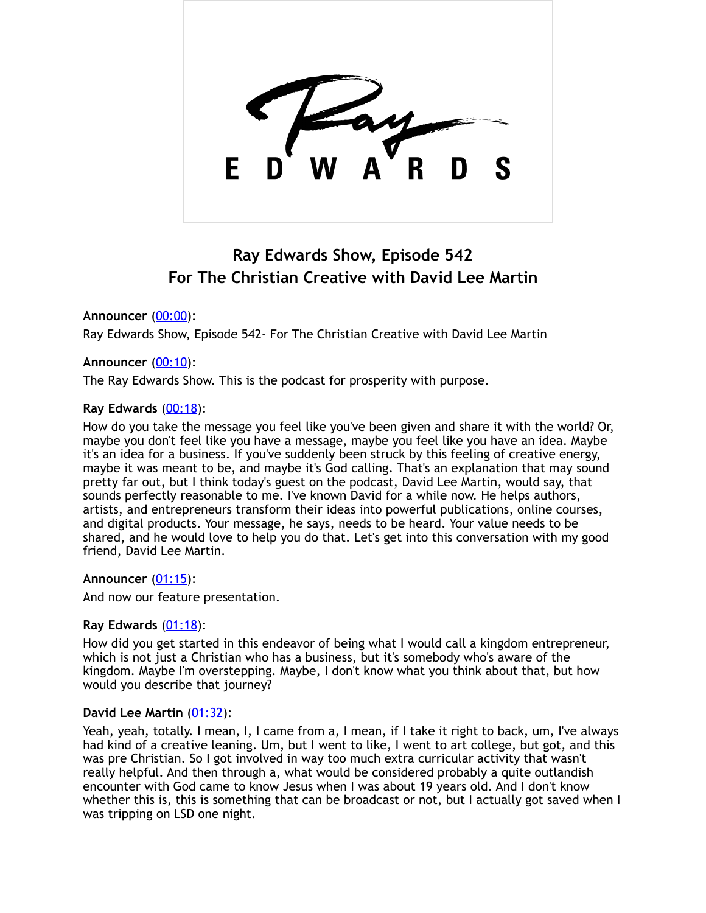

# **Ray Edwards Show, Episode 542 For The Christian Creative with David Lee Martin**

**Announcer** [\(00:00](https://www.temi.com/editor/t/hXAPvgkEYrvsLzCBuKKyVR2CGTjQSA7zbsqfzoMaGK9RTOww-1Fq5vpzOiKbe01b_k-nhDjRkXLMfedynFrJLxwITS0?loadFrom=DocumentDeeplink&ts=0.96)):

Ray Edwards Show, Episode 542- For The Christian Creative with David Lee Martin

## **Announcer** [\(00:10](https://www.temi.com/editor/t/hXAPvgkEYrvsLzCBuKKyVR2CGTjQSA7zbsqfzoMaGK9RTOww-1Fq5vpzOiKbe01b_k-nhDjRkXLMfedynFrJLxwITS0?loadFrom=DocumentDeeplink&ts=10.02)):

The Ray Edwards Show. This is the podcast for prosperity with purpose.

## **Ray Edwards** [\(00:18](https://www.temi.com/editor/t/hXAPvgkEYrvsLzCBuKKyVR2CGTjQSA7zbsqfzoMaGK9RTOww-1Fq5vpzOiKbe01b_k-nhDjRkXLMfedynFrJLxwITS0?loadFrom=DocumentDeeplink&ts=18.09)):

How do you take the message you feel like you've been given and share it with the world? Or, maybe you don't feel like you have a message, maybe you feel like you have an idea. Maybe it's an idea for a business. If you've suddenly been struck by this feeling of creative energy, maybe it was meant to be, and maybe it's God calling. That's an explanation that may sound pretty far out, but I think today's guest on the podcast, David Lee Martin, would say, that sounds perfectly reasonable to me. I've known David for a while now. He helps authors, artists, and entrepreneurs transform their ideas into powerful publications, online courses, and digital products. Your message, he says, needs to be heard. Your value needs to be shared, and he would love to help you do that. Let's get into this conversation with my good friend, David Lee Martin.

## **Announcer** [\(01:15](https://www.temi.com/editor/t/hXAPvgkEYrvsLzCBuKKyVR2CGTjQSA7zbsqfzoMaGK9RTOww-1Fq5vpzOiKbe01b_k-nhDjRkXLMfedynFrJLxwITS0?loadFrom=DocumentDeeplink&ts=75.18)):

And now our feature presentation.

## **Ray Edwards** [\(01:18](https://www.temi.com/editor/t/hXAPvgkEYrvsLzCBuKKyVR2CGTjQSA7zbsqfzoMaGK9RTOww-1Fq5vpzOiKbe01b_k-nhDjRkXLMfedynFrJLxwITS0?loadFrom=DocumentDeeplink&ts=78.3)):

How did you get started in this endeavor of being what I would call a kingdom entrepreneur, which is not just a Christian who has a business, but it's somebody who's aware of the kingdom. Maybe I'm overstepping. Maybe, I don't know what you think about that, but how would you describe that journey?

## **David Lee Martin** [\(01:32](https://www.temi.com/editor/t/hXAPvgkEYrvsLzCBuKKyVR2CGTjQSA7zbsqfzoMaGK9RTOww-1Fq5vpzOiKbe01b_k-nhDjRkXLMfedynFrJLxwITS0?loadFrom=DocumentDeeplink&ts=92.94)):

Yeah, yeah, totally. I mean, I, I came from a, I mean, if I take it right to back, um, I've always had kind of a creative leaning. Um, but I went to like, I went to art college, but got, and this was pre Christian. So I got involved in way too much extra curricular activity that wasn't really helpful. And then through a, what would be considered probably a quite outlandish encounter with God came to know Jesus when I was about 19 years old. And I don't know whether this is, this is something that can be broadcast or not, but I actually got saved when I was tripping on LSD one night.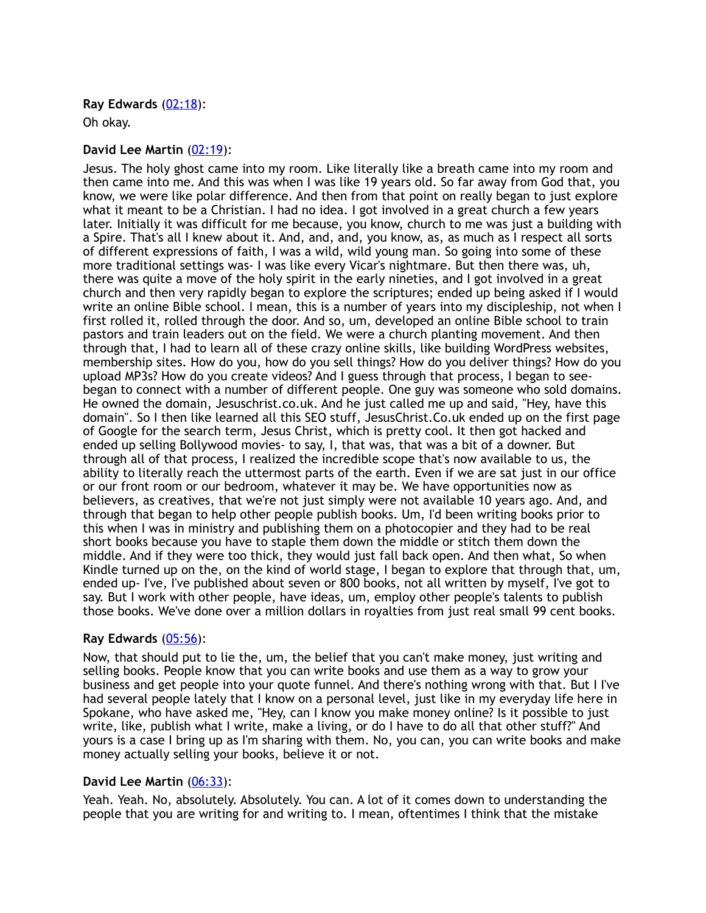## **Ray Edwards** [\(02:18](https://www.temi.com/editor/t/hXAPvgkEYrvsLzCBuKKyVR2CGTjQSA7zbsqfzoMaGK9RTOww-1Fq5vpzOiKbe01b_k-nhDjRkXLMfedynFrJLxwITS0?loadFrom=DocumentDeeplink&ts=138.6)):

Oh okay.

## **David Lee Martin** [\(02:19](https://www.temi.com/editor/t/hXAPvgkEYrvsLzCBuKKyVR2CGTjQSA7zbsqfzoMaGK9RTOww-1Fq5vpzOiKbe01b_k-nhDjRkXLMfedynFrJLxwITS0?loadFrom=DocumentDeeplink&ts=139.08)):

Jesus. The holy ghost came into my room. Like literally like a breath came into my room and then came into me. And this was when I was like 19 years old. So far away from God that, you know, we were like polar difference. And then from that point on really began to just explore what it meant to be a Christian. I had no idea. I got involved in a great church a few years later. Initially it was difficult for me because, you know, church to me was just a building with a Spire. That's all I knew about it. And, and, and, you know, as, as much as I respect all sorts of different expressions of faith, I was a wild, wild young man. So going into some of these more traditional settings was- I was like every Vicar's nightmare. But then there was, uh, there was quite a move of the holy spirit in the early nineties, and I got involved in a great church and then very rapidly began to explore the scriptures; ended up being asked if I would write an online Bible school. I mean, this is a number of years into my discipleship, not when I first rolled it, rolled through the door. And so, um, developed an online Bible school to train pastors and train leaders out on the field. We were a church planting movement. And then through that, I had to learn all of these crazy online skills, like building WordPress websites, membership sites. How do you, how do you sell things? How do you deliver things? How do you upload MP3s? How do you create videos? And I guess through that process, I began to seebegan to connect with a number of different people. One guy was someone who sold domains. He owned the domain, Jesuschrist.co.uk. And he just called me up and said, "Hey, have this domain". So I then like learned all this SEO stuff, JesusChrist.Co.uk ended up on the first page of Google for the search term, Jesus Christ, which is pretty cool. It then got hacked and ended up selling Bollywood movies- to say, I, that was, that was a bit of a downer. But through all of that process, I realized the incredible scope that's now available to us, the ability to literally reach the uttermost parts of the earth. Even if we are sat just in our office or our front room or our bedroom, whatever it may be. We have opportunities now as believers, as creatives, that we're not just simply were not available 10 years ago. And, and through that began to help other people publish books. Um, I'd been writing books prior to this when I was in ministry and publishing them on a photocopier and they had to be real short books because you have to staple them down the middle or stitch them down the middle. And if they were too thick, they would just fall back open. And then what, So when Kindle turned up on the, on the kind of world stage, I began to explore that through that, um, ended up- I've, I've published about seven or 800 books, not all written by myself, I've got to say. But I work with other people, have ideas, um, employ other people's talents to publish those books. We've done over a million dollars in royalties from just real small 99 cent books.

## **Ray Edwards** [\(05:56](https://www.temi.com/editor/t/hXAPvgkEYrvsLzCBuKKyVR2CGTjQSA7zbsqfzoMaGK9RTOww-1Fq5vpzOiKbe01b_k-nhDjRkXLMfedynFrJLxwITS0?loadFrom=DocumentDeeplink&ts=356.08)):

Now, that should put to lie the, um, the belief that you can't make money, just writing and selling books. People know that you can write books and use them as a way to grow your business and get people into your quote funnel. And there's nothing wrong with that. But I I've had several people lately that I know on a personal level, just like in my everyday life here in Spokane, who have asked me, "Hey, can I know you make money online? Is it possible to just write, like, publish what I write, make a living, or do I have to do all that other stuff?" And yours is a case I bring up as I'm sharing with them. No, you can, you can write books and make money actually selling your books, believe it or not.

## **David Lee Martin** [\(06:33](https://www.temi.com/editor/t/hXAPvgkEYrvsLzCBuKKyVR2CGTjQSA7zbsqfzoMaGK9RTOww-1Fq5vpzOiKbe01b_k-nhDjRkXLMfedynFrJLxwITS0?loadFrom=DocumentDeeplink&ts=393.47)):

Yeah. Yeah. No, absolutely. Absolutely. You can. A lot of it comes down to understanding the people that you are writing for and writing to. I mean, oftentimes I think that the mistake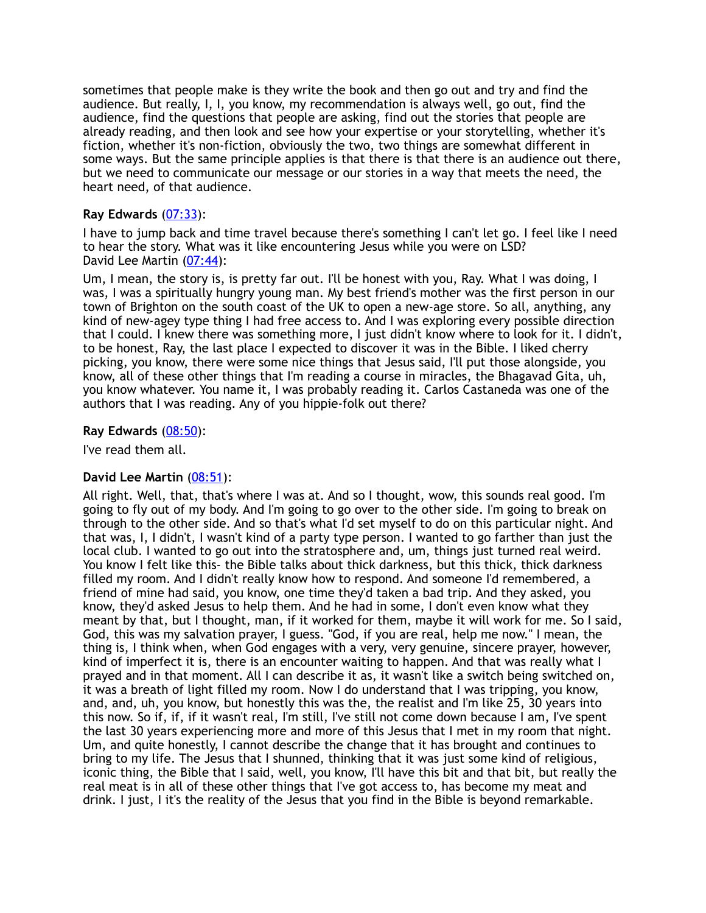sometimes that people make is they write the book and then go out and try and find the audience. But really, I, I, you know, my recommendation is always well, go out, find the audience, find the questions that people are asking, find out the stories that people are already reading, and then look and see how your expertise or your storytelling, whether it's fiction, whether it's non-fiction, obviously the two, two things are somewhat different in some ways. But the same principle applies is that there is that there is an audience out there, but we need to communicate our message or our stories in a way that meets the need, the heart need, of that audience.

## **Ray Edwards** [\(07:33](https://www.temi.com/editor/t/hXAPvgkEYrvsLzCBuKKyVR2CGTjQSA7zbsqfzoMaGK9RTOww-1Fq5vpzOiKbe01b_k-nhDjRkXLMfedynFrJLxwITS0?loadFrom=DocumentDeeplink&ts=453.77)):

I have to jump back and time travel because there's something I can't let go. I feel like I need to hear the story. What was it like encountering Jesus while you were on LSD? David Lee Martin [\(07:44](https://www.temi.com/editor/t/hXAPvgkEYrvsLzCBuKKyVR2CGTjQSA7zbsqfzoMaGK9RTOww-1Fq5vpzOiKbe01b_k-nhDjRkXLMfedynFrJLxwITS0?loadFrom=DocumentDeeplink&ts=464.24)):

Um, I mean, the story is, is pretty far out. I'll be honest with you, Ray. What I was doing, I was, I was a spiritually hungry young man. My best friend's mother was the first person in our town of Brighton on the south coast of the UK to open a new-age store. So all, anything, any kind of new-agey type thing I had free access to. And I was exploring every possible direction that I could. I knew there was something more, I just didn't know where to look for it. I didn't, to be honest, Ray, the last place I expected to discover it was in the Bible. I liked cherry picking, you know, there were some nice things that Jesus said, I'll put those alongside, you know, all of these other things that I'm reading a course in miracles, the Bhagavad Gita, uh, you know whatever. You name it, I was probably reading it. Carlos Castaneda was one of the authors that I was reading. Any of you hippie-folk out there?

## **Ray Edwards** [\(08:50](https://www.temi.com/editor/t/hXAPvgkEYrvsLzCBuKKyVR2CGTjQSA7zbsqfzoMaGK9RTOww-1Fq5vpzOiKbe01b_k-nhDjRkXLMfedynFrJLxwITS0?loadFrom=DocumentDeeplink&ts=530.45)):

I've read them all.

## **David Lee Martin** [\(08:51](https://www.temi.com/editor/t/hXAPvgkEYrvsLzCBuKKyVR2CGTjQSA7zbsqfzoMaGK9RTOww-1Fq5vpzOiKbe01b_k-nhDjRkXLMfedynFrJLxwITS0?loadFrom=DocumentDeeplink&ts=531.89)):

All right. Well, that, that's where I was at. And so I thought, wow, this sounds real good. I'm going to fly out of my body. And I'm going to go over to the other side. I'm going to break on through to the other side. And so that's what I'd set myself to do on this particular night. And that was, I, I didn't, I wasn't kind of a party type person. I wanted to go farther than just the local club. I wanted to go out into the stratosphere and, um, things just turned real weird. You know I felt like this- the Bible talks about thick darkness, but this thick, thick darkness filled my room. And I didn't really know how to respond. And someone I'd remembered, a friend of mine had said, you know, one time they'd taken a bad trip. And they asked, you know, they'd asked Jesus to help them. And he had in some, I don't even know what they meant by that, but I thought, man, if it worked for them, maybe it will work for me. So I said, God, this was my salvation prayer, I guess. "God, if you are real, help me now." I mean, the thing is, I think when, when God engages with a very, very genuine, sincere prayer, however, kind of imperfect it is, there is an encounter waiting to happen. And that was really what I prayed and in that moment. All I can describe it as, it wasn't like a switch being switched on, it was a breath of light filled my room. Now I do understand that I was tripping, you know, and, and, uh, you know, but honestly this was the, the realist and I'm like 25, 30 years into this now. So if, if, if it wasn't real, I'm still, I've still not come down because I am, I've spent the last 30 years experiencing more and more of this Jesus that I met in my room that night. Um, and quite honestly, I cannot describe the change that it has brought and continues to bring to my life. The Jesus that I shunned, thinking that it was just some kind of religious, iconic thing, the Bible that I said, well, you know, I'll have this bit and that bit, but really the real meat is in all of these other things that I've got access to, has become my meat and drink. I just, I it's the reality of the Jesus that you find in the Bible is beyond remarkable.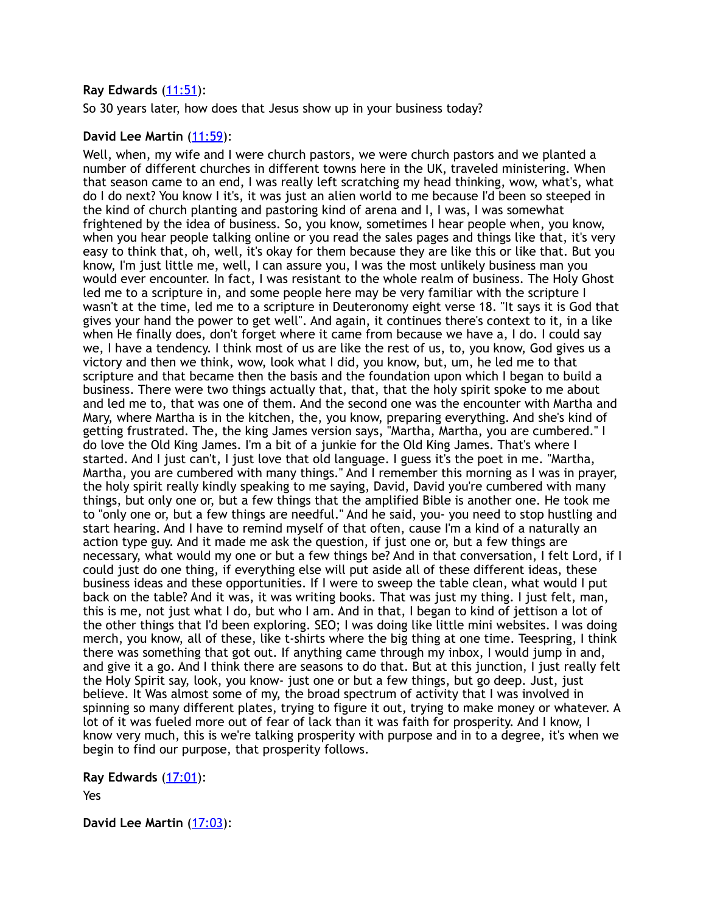## **Ray Edwards** [\(11:51](https://www.temi.com/editor/t/hXAPvgkEYrvsLzCBuKKyVR2CGTjQSA7zbsqfzoMaGK9RTOww-1Fq5vpzOiKbe01b_k-nhDjRkXLMfedynFrJLxwITS0?loadFrom=DocumentDeeplink&ts=711.27)):

So 30 years later, how does that Jesus show up in your business today?

## **David Lee Martin** [\(11:59](https://www.temi.com/editor/t/hXAPvgkEYrvsLzCBuKKyVR2CGTjQSA7zbsqfzoMaGK9RTOww-1Fq5vpzOiKbe01b_k-nhDjRkXLMfedynFrJLxwITS0?loadFrom=DocumentDeeplink&ts=719.05)):

Well, when, my wife and I were church pastors, we were church pastors and we planted a number of different churches in different towns here in the UK, traveled ministering. When that season came to an end, I was really left scratching my head thinking, wow, what's, what do I do next? You know I it's, it was just an alien world to me because I'd been so steeped in the kind of church planting and pastoring kind of arena and I, I was, I was somewhat frightened by the idea of business. So, you know, sometimes I hear people when, you know, when you hear people talking online or you read the sales pages and things like that, it's very easy to think that, oh, well, it's okay for them because they are like this or like that. But you know, I'm just little me, well, I can assure you, I was the most unlikely business man you would ever encounter. In fact, I was resistant to the whole realm of business. The Holy Ghost led me to a scripture in, and some people here may be very familiar with the scripture I wasn't at the time, led me to a scripture in Deuteronomy eight verse 18. "It says it is God that gives your hand the power to get well". And again, it continues there's context to it, in a like when He finally does, don't forget where it came from because we have a, I do. I could say we, I have a tendency. I think most of us are like the rest of us, to, you know, God gives us a victory and then we think, wow, look what I did, you know, but, um, he led me to that scripture and that became then the basis and the foundation upon which I began to build a business. There were two things actually that, that, that the holy spirit spoke to me about and led me to, that was one of them. And the second one was the encounter with Martha and Mary, where Martha is in the kitchen, the, you know, preparing everything. And she's kind of getting frustrated. The, the king James version says, "Martha, Martha, you are cumbered." I do love the Old King James. I'm a bit of a junkie for the Old King James. That's where I started. And I just can't, I just love that old language. I guess it's the poet in me. "Martha, Martha, you are cumbered with many things." And I remember this morning as I was in prayer, the holy spirit really kindly speaking to me saying, David, David you're cumbered with many things, but only one or, but a few things that the amplified Bible is another one. He took me to "only one or, but a few things are needful." And he said, you- you need to stop hustling and start hearing. And I have to remind myself of that often, cause I'm a kind of a naturally an action type guy. And it made me ask the question, if just one or, but a few things are necessary, what would my one or but a few things be? And in that conversation, I felt Lord, if I could just do one thing, if everything else will put aside all of these different ideas, these business ideas and these opportunities. If I were to sweep the table clean, what would I put back on the table? And it was, it was writing books. That was just my thing. I just felt, man, this is me, not just what I do, but who I am. And in that, I began to kind of jettison a lot of the other things that I'd been exploring. SEO; I was doing like little mini websites. I was doing merch, you know, all of these, like t-shirts where the big thing at one time. Teespring, I think there was something that got out. If anything came through my inbox, I would jump in and, and give it a go. And I think there are seasons to do that. But at this junction, I just really felt the Holy Spirit say, look, you know- just one or but a few things, but go deep. Just, just believe. It Was almost some of my, the broad spectrum of activity that I was involved in spinning so many different plates, trying to figure it out, trying to make money or whatever. A lot of it was fueled more out of fear of lack than it was faith for prosperity. And I know, I know very much, this is we're talking prosperity with purpose and in to a degree, it's when we begin to find our purpose, that prosperity follows.

**Ray Edwards** [\(17:01](https://www.temi.com/editor/t/hXAPvgkEYrvsLzCBuKKyVR2CGTjQSA7zbsqfzoMaGK9RTOww-1Fq5vpzOiKbe01b_k-nhDjRkXLMfedynFrJLxwITS0?loadFrom=DocumentDeeplink&ts=1021.521)):

Yes

**David Lee Martin** [\(17:03](https://www.temi.com/editor/t/hXAPvgkEYrvsLzCBuKKyVR2CGTjQSA7zbsqfzoMaGK9RTOww-1Fq5vpzOiKbe01b_k-nhDjRkXLMfedynFrJLxwITS0?loadFrom=DocumentDeeplink&ts=1023.17)):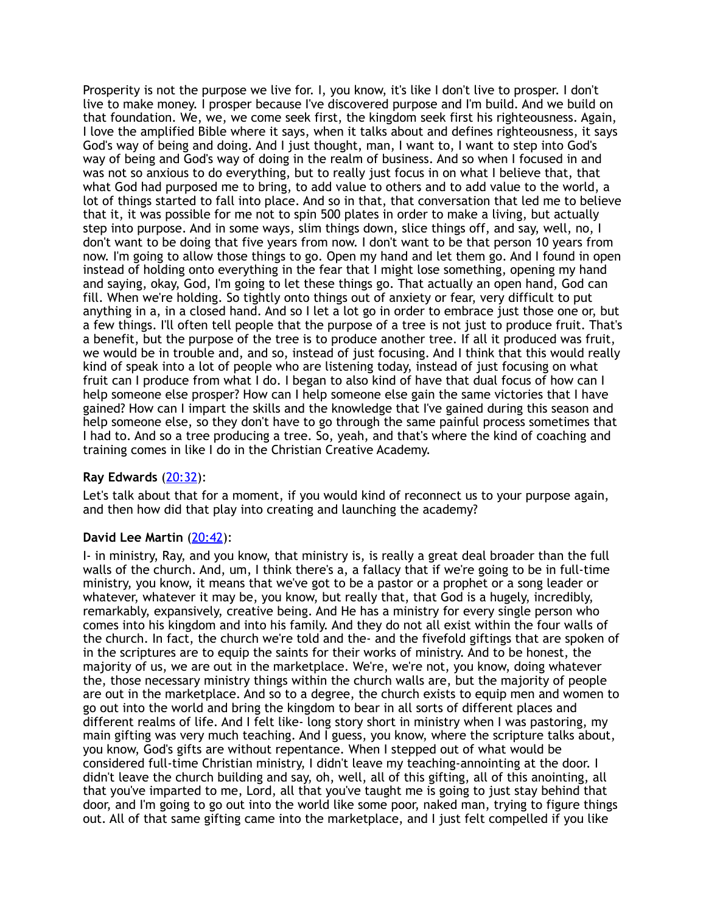Prosperity is not the purpose we live for. I, you know, it's like I don't live to prosper. I don't live to make money. I prosper because I've discovered purpose and I'm build. And we build on that foundation. We, we, we come seek first, the kingdom seek first his righteousness. Again, I love the amplified Bible where it says, when it talks about and defines righteousness, it says God's way of being and doing. And I just thought, man, I want to, I want to step into God's way of being and God's way of doing in the realm of business. And so when I focused in and was not so anxious to do everything, but to really just focus in on what I believe that, that what God had purposed me to bring, to add value to others and to add value to the world, a lot of things started to fall into place. And so in that, that conversation that led me to believe that it, it was possible for me not to spin 500 plates in order to make a living, but actually step into purpose. And in some ways, slim things down, slice things off, and say, well, no, I don't want to be doing that five years from now. I don't want to be that person 10 years from now. I'm going to allow those things to go. Open my hand and let them go. And I found in open instead of holding onto everything in the fear that I might lose something, opening my hand and saying, okay, God, I'm going to let these things go. That actually an open hand, God can fill. When we're holding. So tightly onto things out of anxiety or fear, very difficult to put anything in a, in a closed hand. And so I let a lot go in order to embrace just those one or, but a few things. I'll often tell people that the purpose of a tree is not just to produce fruit. That's a benefit, but the purpose of the tree is to produce another tree. If all it produced was fruit, we would be in trouble and, and so, instead of just focusing. And I think that this would really kind of speak into a lot of people who are listening today, instead of just focusing on what fruit can I produce from what I do. I began to also kind of have that dual focus of how can I help someone else prosper? How can I help someone else gain the same victories that I have gained? How can I impart the skills and the knowledge that I've gained during this season and help someone else, so they don't have to go through the same painful process sometimes that I had to. And so a tree producing a tree. So, yeah, and that's where the kind of coaching and training comes in like I do in the Christian Creative Academy.

## **Ray Edwards** [\(20:32](https://www.temi.com/editor/t/hXAPvgkEYrvsLzCBuKKyVR2CGTjQSA7zbsqfzoMaGK9RTOww-1Fq5vpzOiKbe01b_k-nhDjRkXLMfedynFrJLxwITS0?loadFrom=DocumentDeeplink&ts=1232.91)):

Let's talk about that for a moment, if you would kind of reconnect us to your purpose again, and then how did that play into creating and launching the academy?

## **David Lee Martin** [\(20:42](https://www.temi.com/editor/t/hXAPvgkEYrvsLzCBuKKyVR2CGTjQSA7zbsqfzoMaGK9RTOww-1Fq5vpzOiKbe01b_k-nhDjRkXLMfedynFrJLxwITS0?loadFrom=DocumentDeeplink&ts=1242.78)):

I- in ministry, Ray, and you know, that ministry is, is really a great deal broader than the full walls of the church. And, um, I think there's a, a fallacy that if we're going to be in full-time ministry, you know, it means that we've got to be a pastor or a prophet or a song leader or whatever, whatever it may be, you know, but really that, that God is a hugely, incredibly, remarkably, expansively, creative being. And He has a ministry for every single person who comes into his kingdom and into his family. And they do not all exist within the four walls of the church. In fact, the church we're told and the- and the fivefold giftings that are spoken of in the scriptures are to equip the saints for their works of ministry. And to be honest, the majority of us, we are out in the marketplace. We're, we're not, you know, doing whatever the, those necessary ministry things within the church walls are, but the majority of people are out in the marketplace. And so to a degree, the church exists to equip men and women to go out into the world and bring the kingdom to bear in all sorts of different places and different realms of life. And I felt like- long story short in ministry when I was pastoring, my main gifting was very much teaching. And I guess, you know, where the scripture talks about, you know, God's gifts are without repentance. When I stepped out of what would be considered full-time Christian ministry, I didn't leave my teaching-annointing at the door. I didn't leave the church building and say, oh, well, all of this gifting, all of this anointing, all that you've imparted to me, Lord, all that you've taught me is going to just stay behind that door, and I'm going to go out into the world like some poor, naked man, trying to figure things out. All of that same gifting came into the marketplace, and I just felt compelled if you like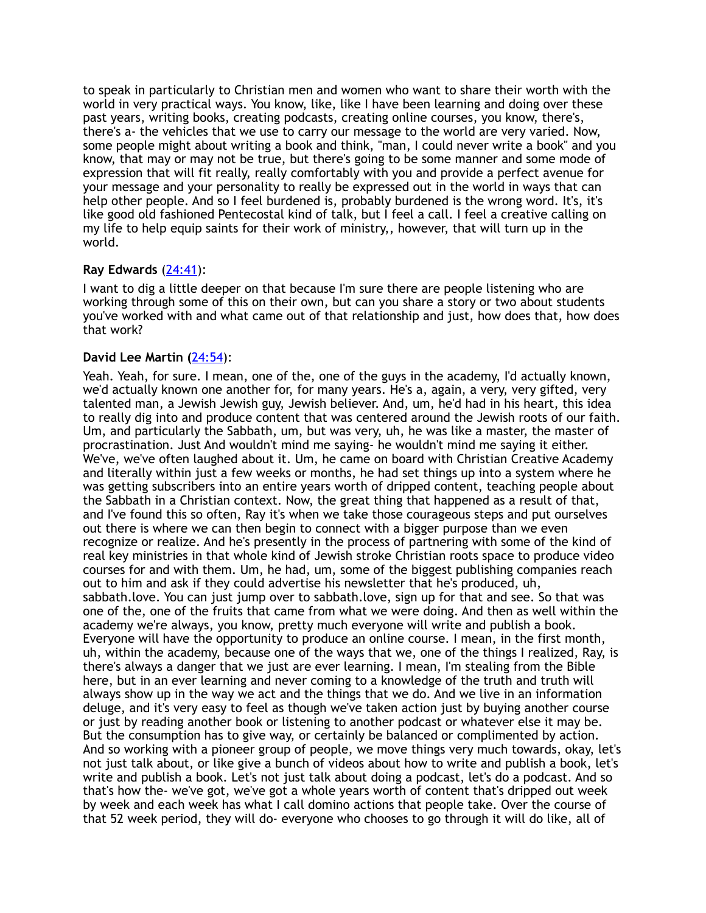to speak in particularly to Christian men and women who want to share their worth with the world in very practical ways. You know, like, like I have been learning and doing over these past years, writing books, creating podcasts, creating online courses, you know, there's, there's a- the vehicles that we use to carry our message to the world are very varied. Now, some people might about writing a book and think, "man, I could never write a book" and you know, that may or may not be true, but there's going to be some manner and some mode of expression that will fit really, really comfortably with you and provide a perfect avenue for your message and your personality to really be expressed out in the world in ways that can help other people. And so I feel burdened is, probably burdened is the wrong word. It's, it's like good old fashioned Pentecostal kind of talk, but I feel a call. I feel a creative calling on my life to help equip saints for their work of ministry,, however, that will turn up in the world.

## **Ray Edwards** [\(24:41](https://www.temi.com/editor/t/hXAPvgkEYrvsLzCBuKKyVR2CGTjQSA7zbsqfzoMaGK9RTOww-1Fq5vpzOiKbe01b_k-nhDjRkXLMfedynFrJLxwITS0?loadFrom=DocumentDeeplink&ts=1481.36)):

I want to dig a little deeper on that because I'm sure there are people listening who are working through some of this on their own, but can you share a story or two about students you've worked with and what came out of that relationship and just, how does that, how does that work?

## **David Lee Martin (**[24:54](https://www.temi.com/editor/t/hXAPvgkEYrvsLzCBuKKyVR2CGTjQSA7zbsqfzoMaGK9RTOww-1Fq5vpzOiKbe01b_k-nhDjRkXLMfedynFrJLxwITS0?loadFrom=DocumentDeeplink&ts=1494.32)):

Yeah. Yeah, for sure. I mean, one of the, one of the guys in the academy, I'd actually known, we'd actually known one another for, for many years. He's a, again, a very, very gifted, very talented man, a Jewish Jewish guy, Jewish believer. And, um, he'd had in his heart, this idea to really dig into and produce content that was centered around the Jewish roots of our faith. Um, and particularly the Sabbath, um, but was very, uh, he was like a master, the master of procrastination. Just And wouldn't mind me saying- he wouldn't mind me saying it either. We've, we've often laughed about it. Um, he came on board with Christian Creative Academy and literally within just a few weeks or months, he had set things up into a system where he was getting subscribers into an entire years worth of dripped content, teaching people about the Sabbath in a Christian context. Now, the great thing that happened as a result of that, and I've found this so often, Ray it's when we take those courageous steps and put ourselves out there is where we can then begin to connect with a bigger purpose than we even recognize or realize. And he's presently in the process of partnering with some of the kind of real key ministries in that whole kind of Jewish stroke Christian roots space to produce video courses for and with them. Um, he had, um, some of the biggest publishing companies reach out to him and ask if they could advertise his newsletter that he's produced, uh, sabbath.love. You can just jump over to sabbath.love, sign up for that and see. So that was one of the, one of the fruits that came from what we were doing. And then as well within the academy we're always, you know, pretty much everyone will write and publish a book. Everyone will have the opportunity to produce an online course. I mean, in the first month, uh, within the academy, because one of the ways that we, one of the things I realized, Ray, is there's always a danger that we just are ever learning. I mean, I'm stealing from the Bible here, but in an ever learning and never coming to a knowledge of the truth and truth will always show up in the way we act and the things that we do. And we live in an information deluge, and it's very easy to feel as though we've taken action just by buying another course or just by reading another book or listening to another podcast or whatever else it may be. But the consumption has to give way, or certainly be balanced or complimented by action. And so working with a pioneer group of people, we move things very much towards, okay, let's not just talk about, or like give a bunch of videos about how to write and publish a book, let's write and publish a book. Let's not just talk about doing a podcast, let's do a podcast. And so that's how the- we've got, we've got a whole years worth of content that's dripped out week by week and each week has what I call domino actions that people take. Over the course of that 52 week period, they will do- everyone who chooses to go through it will do like, all of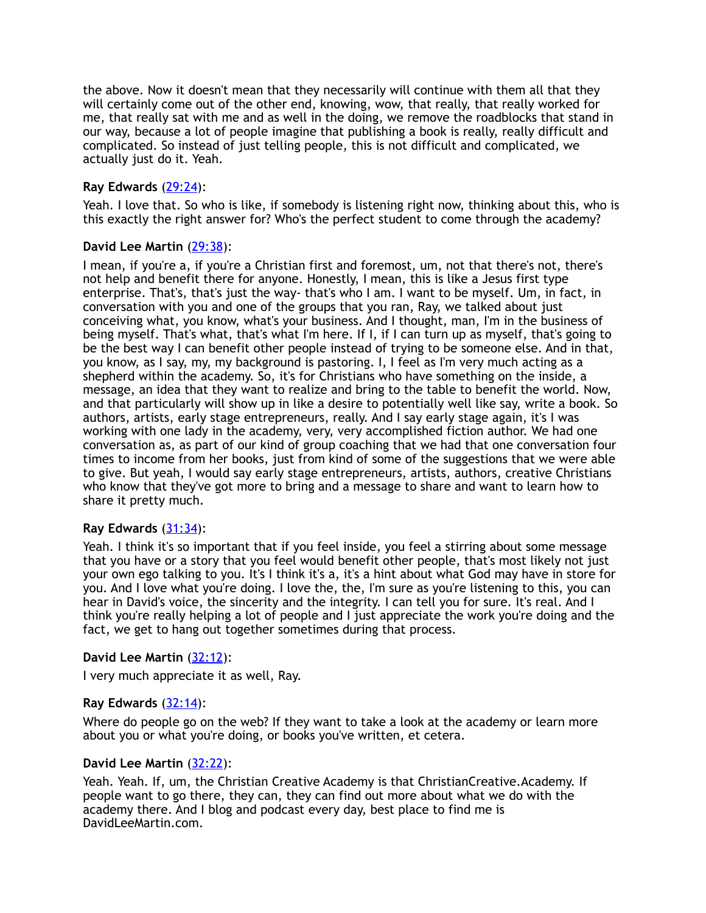the above. Now it doesn't mean that they necessarily will continue with them all that they will certainly come out of the other end, knowing, wow, that really, that really worked for me, that really sat with me and as well in the doing, we remove the roadblocks that stand in our way, because a lot of people imagine that publishing a book is really, really difficult and complicated. So instead of just telling people, this is not difficult and complicated, we actually just do it. Yeah.

## **Ray Edwards** [\(29:24](https://www.temi.com/editor/t/hXAPvgkEYrvsLzCBuKKyVR2CGTjQSA7zbsqfzoMaGK9RTOww-1Fq5vpzOiKbe01b_k-nhDjRkXLMfedynFrJLxwITS0?loadFrom=DocumentDeeplink&ts=1764.78)):

Yeah. I love that. So who is like, if somebody is listening right now, thinking about this, who is this exactly the right answer for? Who's the perfect student to come through the academy?

## **David Lee Martin** [\(29:38](https://www.temi.com/editor/t/hXAPvgkEYrvsLzCBuKKyVR2CGTjQSA7zbsqfzoMaGK9RTOww-1Fq5vpzOiKbe01b_k-nhDjRkXLMfedynFrJLxwITS0?loadFrom=DocumentDeeplink&ts=1778.37)):

I mean, if you're a, if you're a Christian first and foremost, um, not that there's not, there's not help and benefit there for anyone. Honestly, I mean, this is like a Jesus first type enterprise. That's, that's just the way- that's who I am. I want to be myself. Um, in fact, in conversation with you and one of the groups that you ran, Ray, we talked about just conceiving what, you know, what's your business. And I thought, man, I'm in the business of being myself. That's what, that's what I'm here. If I, if I can turn up as myself, that's going to be the best way I can benefit other people instead of trying to be someone else. And in that, you know, as I say, my, my background is pastoring. I, I feel as I'm very much acting as a shepherd within the academy. So, it's for Christians who have something on the inside, a message, an idea that they want to realize and bring to the table to benefit the world. Now, and that particularly will show up in like a desire to potentially well like say, write a book. So authors, artists, early stage entrepreneurs, really. And I say early stage again, it's I was working with one lady in the academy, very, very accomplished fiction author. We had one conversation as, as part of our kind of group coaching that we had that one conversation four times to income from her books, just from kind of some of the suggestions that we were able to give. But yeah, I would say early stage entrepreneurs, artists, authors, creative Christians who know that they've got more to bring and a message to share and want to learn how to share it pretty much.

## **Ray Edwards** [\(31:34](https://www.temi.com/editor/t/hXAPvgkEYrvsLzCBuKKyVR2CGTjQSA7zbsqfzoMaGK9RTOww-1Fq5vpzOiKbe01b_k-nhDjRkXLMfedynFrJLxwITS0?loadFrom=DocumentDeeplink&ts=1894.72)):

Yeah. I think it's so important that if you feel inside, you feel a stirring about some message that you have or a story that you feel would benefit other people, that's most likely not just your own ego talking to you. It's I think it's a, it's a hint about what God may have in store for you. And I love what you're doing. I love the, the, I'm sure as you're listening to this, you can hear in David's voice, the sincerity and the integrity. I can tell you for sure. It's real. And I think you're really helping a lot of people and I just appreciate the work you're doing and the fact, we get to hang out together sometimes during that process.

## **David Lee Martin** [\(32:12](https://www.temi.com/editor/t/hXAPvgkEYrvsLzCBuKKyVR2CGTjQSA7zbsqfzoMaGK9RTOww-1Fq5vpzOiKbe01b_k-nhDjRkXLMfedynFrJLxwITS0?loadFrom=DocumentDeeplink&ts=1932.1)):

I very much appreciate it as well, Ray.

## **Ray Edwards** [\(32:14](https://www.temi.com/editor/t/hXAPvgkEYrvsLzCBuKKyVR2CGTjQSA7zbsqfzoMaGK9RTOww-1Fq5vpzOiKbe01b_k-nhDjRkXLMfedynFrJLxwITS0?loadFrom=DocumentDeeplink&ts=1934.77)):

Where do people go on the web? If they want to take a look at the academy or learn more about you or what you're doing, or books you've written, et cetera.

## **David Lee Martin** [\(32:22](https://www.temi.com/editor/t/hXAPvgkEYrvsLzCBuKKyVR2CGTjQSA7zbsqfzoMaGK9RTOww-1Fq5vpzOiKbe01b_k-nhDjRkXLMfedynFrJLxwITS0?loadFrom=DocumentDeeplink&ts=1942.09)):

Yeah. Yeah. If, um, the Christian Creative Academy is that ChristianCreative.Academy. If people want to go there, they can, they can find out more about what we do with the academy there. And I blog and podcast every day, best place to find me is DavidLeeMartin.com.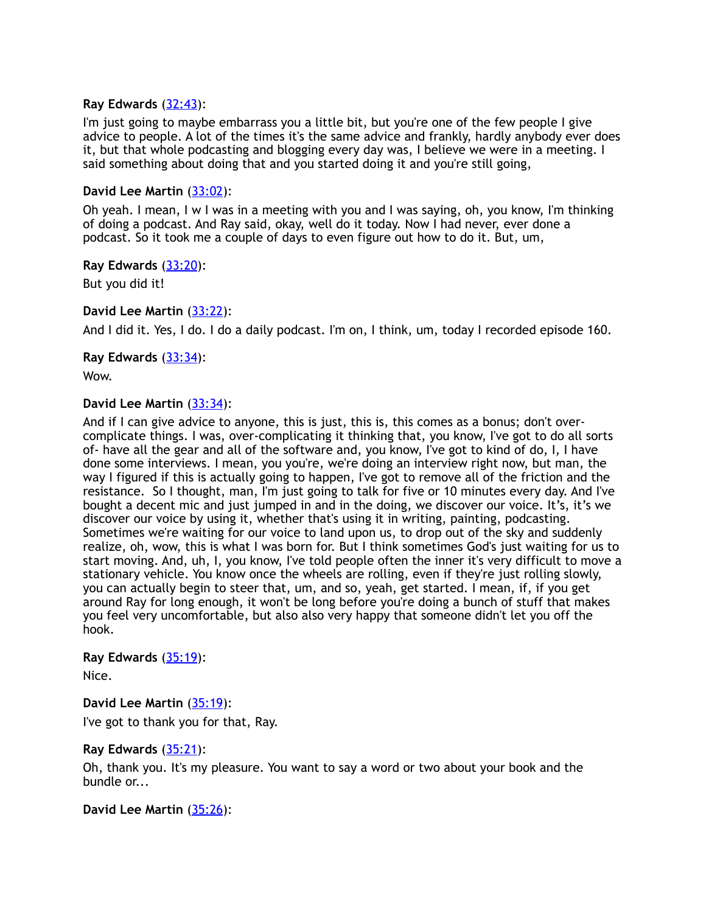## **Ray Edwards** [\(32:43](https://www.temi.com/editor/t/hXAPvgkEYrvsLzCBuKKyVR2CGTjQSA7zbsqfzoMaGK9RTOww-1Fq5vpzOiKbe01b_k-nhDjRkXLMfedynFrJLxwITS0?loadFrom=DocumentDeeplink&ts=1963.55)):

I'm just going to maybe embarrass you a little bit, but you're one of the few people I give advice to people. A lot of the times it's the same advice and frankly, hardly anybody ever does it, but that whole podcasting and blogging every day was, I believe we were in a meeting. I said something about doing that and you started doing it and you're still going,

## **David Lee Martin** [\(33:02](https://www.temi.com/editor/t/hXAPvgkEYrvsLzCBuKKyVR2CGTjQSA7zbsqfzoMaGK9RTOww-1Fq5vpzOiKbe01b_k-nhDjRkXLMfedynFrJLxwITS0?loadFrom=DocumentDeeplink&ts=1982.81)):

Oh yeah. I mean, I w I was in a meeting with you and I was saying, oh, you know, I'm thinking of doing a podcast. And Ray said, okay, well do it today. Now I had never, ever done a podcast. So it took me a couple of days to even figure out how to do it. But, um,

**Ray Edwards** [\(33:20](https://www.temi.com/editor/t/hXAPvgkEYrvsLzCBuKKyVR2CGTjQSA7zbsqfzoMaGK9RTOww-1Fq5vpzOiKbe01b_k-nhDjRkXLMfedynFrJLxwITS0?loadFrom=DocumentDeeplink&ts=2000.93)):

But you did it!

## **David Lee Martin** [\(33:22](https://www.temi.com/editor/t/hXAPvgkEYrvsLzCBuKKyVR2CGTjQSA7zbsqfzoMaGK9RTOww-1Fq5vpzOiKbe01b_k-nhDjRkXLMfedynFrJLxwITS0?loadFrom=DocumentDeeplink&ts=2002.05)):

And I did it. Yes, I do. I do a daily podcast. I'm on, I think, um, today I recorded episode 160.

## **Ray Edwards** [\(33:34](https://www.temi.com/editor/t/hXAPvgkEYrvsLzCBuKKyVR2CGTjQSA7zbsqfzoMaGK9RTOww-1Fq5vpzOiKbe01b_k-nhDjRkXLMfedynFrJLxwITS0?loadFrom=DocumentDeeplink&ts=2014.19)):

Wow.

## **David Lee Martin** [\(33:34](https://www.temi.com/editor/t/hXAPvgkEYrvsLzCBuKKyVR2CGTjQSA7zbsqfzoMaGK9RTOww-1Fq5vpzOiKbe01b_k-nhDjRkXLMfedynFrJLxwITS0?loadFrom=DocumentDeeplink&ts=2014.19)):

And if I can give advice to anyone, this is just, this is, this comes as a bonus; don't overcomplicate things. I was, over-complicating it thinking that, you know, I've got to do all sorts of- have all the gear and all of the software and, you know, I've got to kind of do, I, I have done some interviews. I mean, you you're, we're doing an interview right now, but man, the way I figured if this is actually going to happen, I've got to remove all of the friction and the resistance. So I thought, man, I'm just going to talk for five or 10 minutes every day. And I've bought a decent mic and just jumped in and in the doing, we discover our voice. It's, it's we discover our voice by using it, whether that's using it in writing, painting, podcasting. Sometimes we're waiting for our voice to land upon us, to drop out of the sky and suddenly realize, oh, wow, this is what I was born for. But I think sometimes God's just waiting for us to start moving. And, uh, I, you know, I've told people often the inner it's very difficult to move a stationary vehicle. You know once the wheels are rolling, even if they're just rolling slowly, you can actually begin to steer that, um, and so, yeah, get started. I mean, if, if you get around Ray for long enough, it won't be long before you're doing a bunch of stuff that makes you feel very uncomfortable, but also also very happy that someone didn't let you off the hook.

## **Ray Edwards** [\(35:19](https://www.temi.com/editor/t/hXAPvgkEYrvsLzCBuKKyVR2CGTjQSA7zbsqfzoMaGK9RTOww-1Fq5vpzOiKbe01b_k-nhDjRkXLMfedynFrJLxwITS0?loadFrom=DocumentDeeplink&ts=2119.51)):

Nice.

**David Lee Martin** [\(35:19](https://www.temi.com/editor/t/hXAPvgkEYrvsLzCBuKKyVR2CGTjQSA7zbsqfzoMaGK9RTOww-1Fq5vpzOiKbe01b_k-nhDjRkXLMfedynFrJLxwITS0?loadFrom=DocumentDeeplink&ts=2119.51)): I've got to thank you for that, Ray.

## **Ray Edwards** [\(35:21](https://www.temi.com/editor/t/hXAPvgkEYrvsLzCBuKKyVR2CGTjQSA7zbsqfzoMaGK9RTOww-1Fq5vpzOiKbe01b_k-nhDjRkXLMfedynFrJLxwITS0?loadFrom=DocumentDeeplink&ts=2121.14)):

Oh, thank you. It's my pleasure. You want to say a word or two about your book and the bundle or...

**David Lee Martin** [\(35:26](https://www.temi.com/editor/t/hXAPvgkEYrvsLzCBuKKyVR2CGTjQSA7zbsqfzoMaGK9RTOww-1Fq5vpzOiKbe01b_k-nhDjRkXLMfedynFrJLxwITS0?loadFrom=DocumentDeeplink&ts=2126.12)):